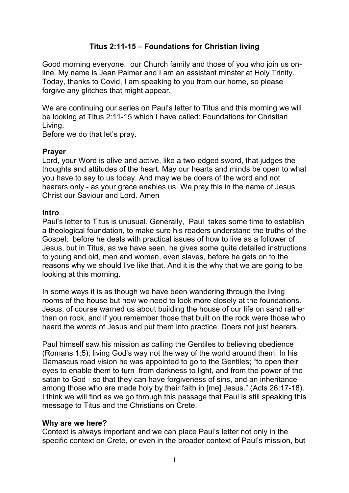## **Titus 2:11-15 – Foundations for Christian living**

Good morning everyone, our Church family and those of you who join us online. My name is Jean Palmer and I am an assistant minster at Holy Trinity. Today, thanks to Covid, I am speaking to you from our home, so please forgive any glitches that might appear.

We are continuing our series on Paul's letter to Titus and this morning we will be looking at Titus 2:11-15 which I have called: Foundations for Christian Living.

Before we do that let's pray.

### **Prayer**

Lord, your Word is alive and active, like a two-edged sword, that judges the thoughts and attitudes of the heart. May our hearts and minds be open to what you have to say to us today. And may we be doers of the word and not hearers only - as your grace enables us. We pray this in the name of Jesus Christ our Saviour and Lord. Amen

### **Intro**

Paul's letter to Titus is unusual. Generally, Paul takes some time to establish a theological foundation, to make sure his readers understand the truths of the Gospel, before he deals with practical issues of how to live as a follower of Jesus, but in Titus, as we have seen, he gives some quite detailed instructions to young and old, men and women, even slaves, before he gets on to the reasons why we should live like that. And it is the why that we are going to be looking at this morning.

In some ways it is as though we have been wandering through the living rooms of the house but now we need to look more closely at the foundations. Jesus, of course warned us about building the house of our life on sand rather than on rock, and if you remember those that built on the rock were those who heard the words of Jesus and put them into practice. Doers not just hearers.

Paul himself saw his mission as calling the Gentiles to believing obedience (Romans 1:5); living God's way not the way of the world around them. In his Damascus road vision he was appointed to go to the Gentiles; "to open their eyes to enable them to turn from darkness to light, and from the power of the satan to God - so that they can have forgiveness of sins, and an inheritance among those who are made holy by their faith in [me] Jesus." (Acts 26:17-18). I think we will find as we go through this passage that Paul is still speaking this message to Titus and the Christians on Crete.

### **Why are we here?**

Context is always important and we can place Paul's letter not only in the specific context on Crete, or even in the broader context of Paul's mission, but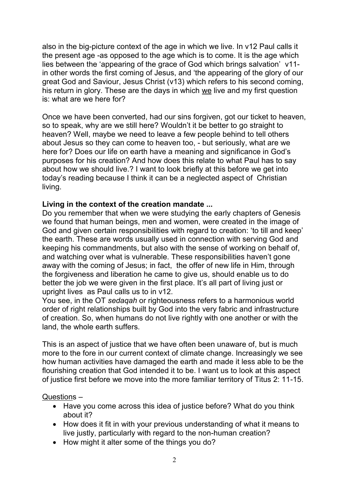also in the big-picture context of the age in which we live. In v12 Paul calls it the present age -as opposed to the age which is to come. It is the age which lies between the 'appearing of the grace of God which brings salvation' v11 in other words the first coming of Jesus, and 'the appearing of the glory of our great God and Saviour, Jesus Christ (v13) which refers to his second coming, his return in glory. These are the days in which we live and my first question is: what are we here for?

Once we have been converted, had our sins forgiven, got our ticket to heaven, so to speak, why are we still here? Wouldn't it be better to go straight to heaven? Well, maybe we need to leave a few people behind to tell others about Jesus so they can come to heaven too, - but seriously, what are we here for? Does our life on earth have a meaning and significance in God's purposes for his creation? And how does this relate to what Paul has to say about how we should live.? I want to look briefly at this before we get into today's reading because I think it can be a neglected aspect of Christian living.

## **Living in the context of the creation mandate ...**

Do you remember that when we were studying the early chapters of Genesis we found that human beings, men and women, were created in the image of God and given certain responsibilities with regard to creation: 'to till and keep' the earth. These are words usually used in connection with serving God and keeping his commandments, but also with the sense of working on behalf of, and watching over what is vulnerable. These responsibilities haven't gone away with the coming of Jesus; in fact, the offer of new life in Him, through the forgiveness and liberation he came to give us, should enable us to do better the job we were given in the first place. It's all part of living just or upright lives as Paul calls us to in v12.

You see, in the OT *sedaqah* or righteousness refers to a harmonious world order of right relationships built by God into the very fabric and infrastructure of creation. So, when humans do not live rightly with one another or with the land, the whole earth suffers.

This is an aspect of justice that we have often been unaware of, but is much more to the fore in our current context of climate change. Increasingly we see how human activities have damaged the earth and made it less able to be the flourishing creation that God intended it to be. I want us to look at this aspect of justice first before we move into the more familiar territory of Titus 2: 11-15.

### Questions –

- Have you come across this idea of justice before? What do you think about it?
- How does it fit in with your previous understanding of what it means to live justly, particularly with regard to the non-human creation?
- How might it alter some of the things you do?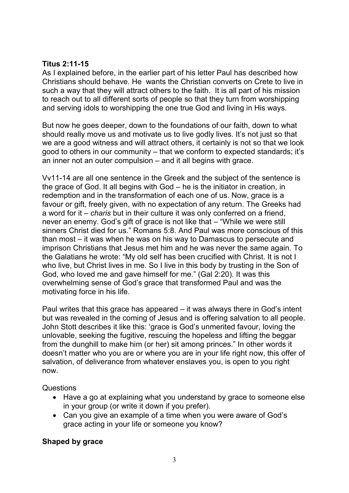## **Titus 2:11-15**

As I explained before, in the earlier part of his letter Paul has described how Christians should behave. He wants the Christian converts on Crete to live in such a way that they will attract others to the faith. It is all part of his mission to reach out to all different sorts of people so that they turn from worshipping and serving idols to worshipping the one true God and living in His ways.

But now he goes deeper, down to the foundations of our faith, down to what should really move us and motivate us to live godly lives. It's not just so that we are a good witness and will attract others, it certainly is not so that we look good to others in our community – that we conform to expected standards; it's an inner not an outer compulsion – and it all begins with grace.

Vv11-14 are all one sentence in the Greek and the subject of the sentence is the grace of God. It all begins with God – he is the initiator in creation, in redemption and in the transformation of each one of us. Now, grace is a favour or gift, freely given, with no expectation of any return. The Greeks had a word for it – *charis* but in their culture it was only conferred on a friend, never an enemy. God's gift of grace is not like that – "While we were still sinners Christ died for us." Romans 5:8. And Paul was more conscious of this than most – it was when he was on his way to Damascus to persecute and imprison Christians that Jesus met him and he was never the same again. To the Galatians he wrote: "My old self has been crucified with Christ. It is not I who live, but Christ lives in me. So I live in this body by trusting in the Son of God, who loved me and gave himself for me." (Gal 2:20). It was this overwhelming sense of God's grace that transformed Paul and was the motivating force in his life.

Paul writes that this grace has appeared – it was always there in God's intent but was revealed in the coming of Jesus and is offering salvation to all people. John Stott describes it like this: 'grace is God's unmerited favour, loving the unlovable, seeking the fugitive, rescuing the hopeless and lifting the beggar from the dunghill to make him (or her) sit among princes." In other words it doesn't matter who you are or where you are in your life right now, this offer of salvation, of deliverance from whatever enslaves you, is open to you right now.

**Questions** 

- Have a go at explaining what you understand by grace to someone else in your group (or write it down if you prefer).
- Can you give an example of a time when you were aware of God's grace acting in your life or someone you know?

# **Shaped by grace**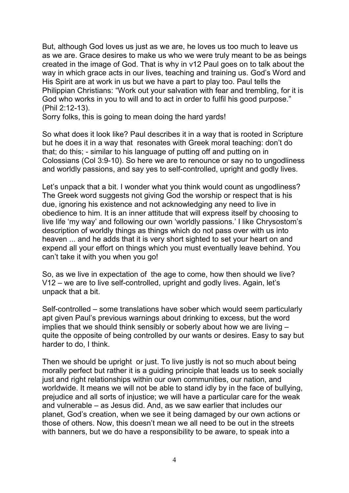But, although God loves us just as we are, he loves us too much to leave us as we are. Grace desires to make us who we were truly meant to be as beings created in the image of God. That is why in v12 Paul goes on to talk about the way in which grace acts in our lives, teaching and training us. God's Word and His Spirit are at work in us but we have a part to play too. Paul tells the Philippian Christians: "Work out your salvation with fear and trembling, for it is God who works in you to will and to act in order to fulfil his good purpose." (Phil 2:12-13).

Sorry folks, this is going to mean doing the hard yards!

So what does it look like? Paul describes it in a way that is rooted in Scripture but he does it in a way that resonates with Greek moral teaching: don't do that; do this; - similar to his language of putting off and putting on in Colossians (Col 3:9-10). So here we are to renounce or say no to ungodliness and worldly passions, and say yes to self-controlled, upright and godly lives.

Let's unpack that a bit. I wonder what you think would count as ungodliness? The Greek word suggests not giving God the worship or respect that is his due, ignoring his existence and not acknowledging any need to live in obedience to him. It is an inner attitude that will express itself by choosing to live life 'my way' and following our own 'worldly passions.' I like Chrysostom's description of worldly things as things which do not pass over with us into heaven ... and he adds that it is very short sighted to set your heart on and expend all your effort on things which you must eventually leave behind. You can't take it with you when you go!

So, as we live in expectation of the age to come, how then should we live? V12 – we are to live self-controlled, upright and godly lives. Again, let's unpack that a bit.

Self-controlled – some translations have sober which would seem particularly apt given Paul's previous warnings about drinking to excess, but the word implies that we should think sensibly or soberly about how we are living – quite the opposite of being controlled by our wants or desires. Easy to say but harder to do, I think.

Then we should be upright or just. To live justly is not so much about being morally perfect but rather it is a guiding principle that leads us to seek socially just and right relationships within our own communities, our nation, and worldwide. It means we will not be able to stand idly by in the face of bullying, prejudice and all sorts of injustice; we will have a particular care for the weak and vulnerable – as Jesus did. And, as we saw earlier that includes our planet, God's creation, when we see it being damaged by our own actions or those of others. Now, this doesn't mean we all need to be out in the streets with banners, but we do have a responsibility to be aware, to speak into a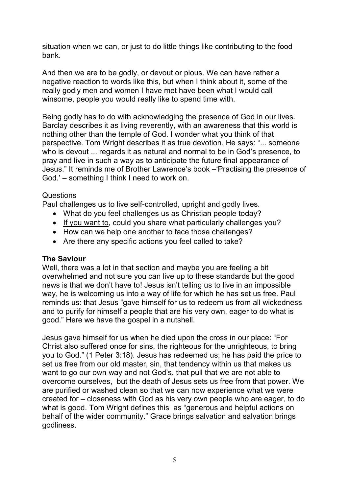situation when we can, or just to do little things like contributing to the food bank.

And then we are to be godly, or devout or pious. We can have rather a negative reaction to words like this, but when I think about it, some of the really godly men and women I have met have been what I would call winsome, people you would really like to spend time with.

Being godly has to do with acknowledging the presence of God in our lives. Barclay describes it as living reverently, with an awareness that this world is nothing other than the temple of God. I wonder what you think of that perspective. Tom Wright describes it as true devotion. He says: "... someone who is devout ... regards it as natural and normal to be in God's presence, to pray and live in such a way as to anticipate the future final appearance of Jesus." It reminds me of Brother Lawrence's book –'Practising the presence of God.' – something I think I need to work on.

## Questions

Paul challenges us to live self-controlled, upright and godly lives.

- What do you feel challenges us as Christian people today?
- If you want to, could you share what particularly challenges you?
- How can we help one another to face those challenges?
- Are there any specific actions you feel called to take?

## **The Saviour**

Well, there was a lot in that section and maybe you are feeling a bit overwhelmed and not sure you can live up to these standards but the good news is that we don't have to! Jesus isn't telling us to live in an impossible way, he is welcoming us into a way of life for which he has set us free. Paul reminds us: that Jesus "gave himself for us to redeem us from all wickedness and to purify for himself a people that are his very own, eager to do what is good." Here we have the gospel in a nutshell.

Jesus gave himself for us when he died upon the cross in our place: "For Christ also suffered once for sins, the righteous for the unrighteous, to bring you to God." (1 Peter 3:18). Jesus has redeemed us; he has paid the price to set us free from our old master, sin, that tendency within us that makes us want to go our own way and not God's, that pull that we are not able to overcome ourselves, but the death of Jesus sets us free from that power. We are purified or washed clean so that we can now experience what we were created for – closeness with God as his very own people who are eager, to do what is good. Tom Wright defines this as "generous and helpful actions on behalf of the wider community." Grace brings salvation and salvation brings godliness.